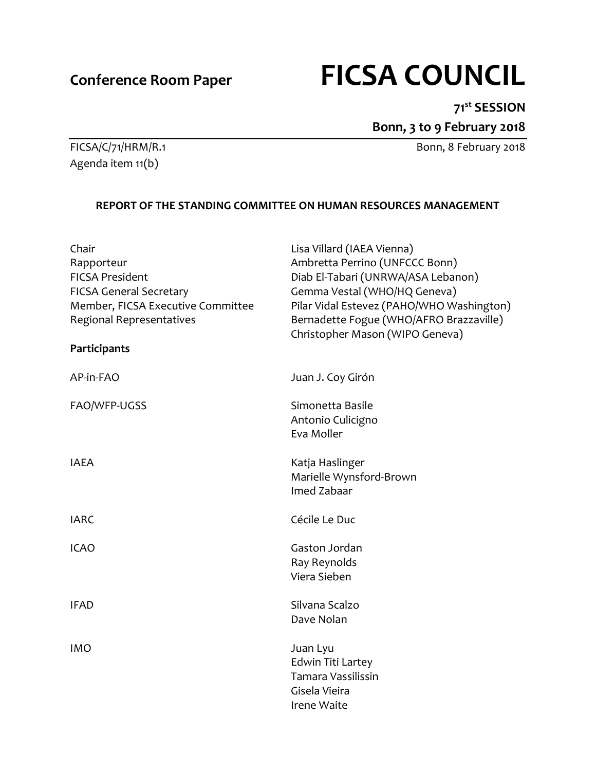# **Conference Room Paper FICSA COUNCIL**

# **71st SESSION**

**Bonn, 3 to 9 February 2018**

FICSA/C/71/HRM/R.1 Bonn, 8 February 2018

Agenda item 11(b)

# **REPORT OF THE STANDING COMMITTEE ON HUMAN RESOURCES MANAGEMENT**

| Lisa Villard (IAEA Vienna)<br>Ambretta Perrino (UNFCCC Bonn)<br>Diab El-Tabari (UNRWA/ASA Lebanon)<br>Gemma Vestal (WHO/HQ Geneva)<br>Pilar Vidal Estevez (PAHO/WHO Washington)<br>Bernadette Fogue (WHO/AFRO Brazzaville)<br>Christopher Mason (WIPO Geneva) |
|---------------------------------------------------------------------------------------------------------------------------------------------------------------------------------------------------------------------------------------------------------------|
| Juan J. Coy Girón                                                                                                                                                                                                                                             |
| Simonetta Basile<br>Antonio Culicigno<br>Eva Moller                                                                                                                                                                                                           |
| Katja Haslinger<br>Marielle Wynsford-Brown<br>Imed Zabaar                                                                                                                                                                                                     |
| Cécile Le Duc                                                                                                                                                                                                                                                 |
| Gaston Jordan<br>Ray Reynolds<br>Viera Sieben                                                                                                                                                                                                                 |
| Silvana Scalzo<br>Dave Nolan                                                                                                                                                                                                                                  |
| Juan Lyu<br><b>Edwin Titi Lartey</b><br>Tamara Vassilissin<br>Gisela Vieira<br><b>Irene Waite</b>                                                                                                                                                             |
|                                                                                                                                                                                                                                                               |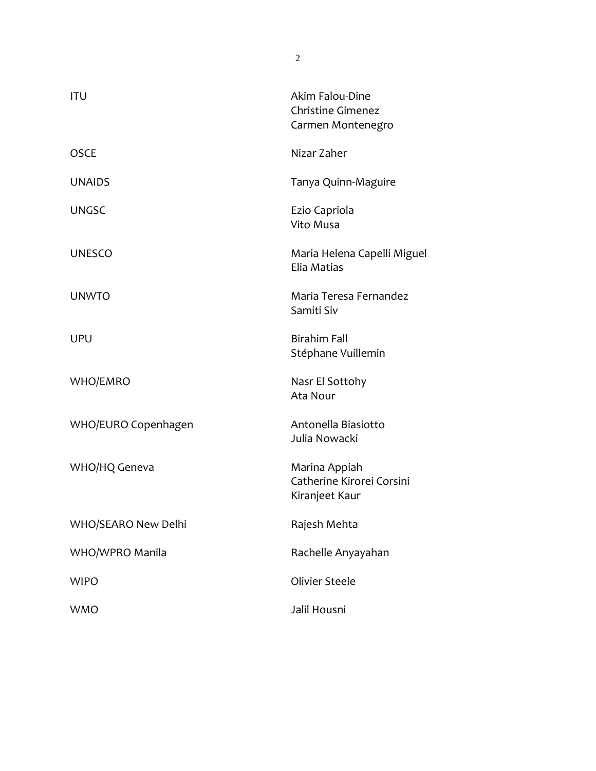| <b>ITU</b>          | Akim Falou-Dine<br><b>Christine Gimenez</b><br>Carmen Montenegro |
|---------------------|------------------------------------------------------------------|
| <b>OSCE</b>         | Nizar Zaher                                                      |
| <b>UNAIDS</b>       | Tanya Quinn-Maguire                                              |
| <b>UNGSC</b>        | Ezio Capriola<br>Vito Musa                                       |
| <b>UNESCO</b>       | Maria Helena Capelli Miguel<br>Elia Matias                       |
| <b>UNWTO</b>        | Maria Teresa Fernandez<br>Samiti Siv                             |
| UPU                 | <b>Birahim Fall</b><br>Stéphane Vuillemin                        |
| WHO/EMRO            | Nasr El Sottohy<br>Ata Nour                                      |
| WHO/EURO Copenhagen | Antonella Biasiotto<br>Julia Nowacki                             |
| WHO/HQ Geneva       | Marina Appiah<br>Catherine Kirorei Corsini<br>Kiranjeet Kaur     |
| WHO/SEARO New Delhi | Rajesh Mehta                                                     |
| WHO/WPRO Manila     | Rachelle Anyayahan                                               |
| <b>WIPO</b>         | Olivier Steele                                                   |
| <b>WMO</b>          | Jalil Housni                                                     |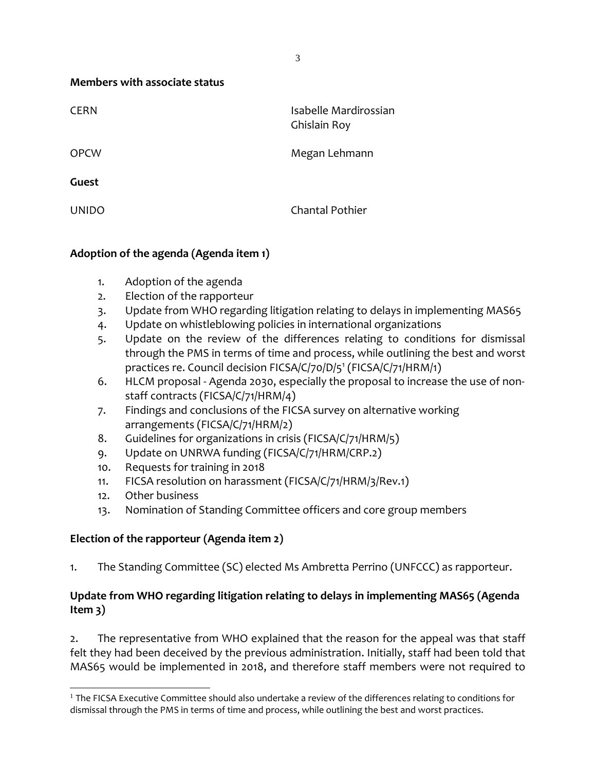**Members with associate status**

| <b>CERN</b>  | Isabelle Mardirossian<br>Ghislain Roy |
|--------------|---------------------------------------|
| <b>OPCW</b>  | Megan Lehmann                         |
| Guest        |                                       |
| <b>UNIDO</b> | <b>Chantal Pothier</b>                |

# **Adoption of the agenda (Agenda item 1)**

- 1. Adoption of the agenda
- 2. Election of the rapporteur
- 3. Update from WHO regarding litigation relating to delays in implementing MAS65
- 4. Update on whistleblowing policies in international organizations
- 5. Update on the review of the differences relating to conditions for dismissal through the PMS in terms of time and process, while outlining the best and worst practices re. Council decision FICSA/C/70/D/5<sup>1</sup> (FICSA/C/71/HRM/1)
- 6. HLCM proposal Agenda 2030, especially the proposal to increase the use of nonstaff contracts (FICSA/C/71/HRM/4)
- 7. Findings and conclusions of the FICSA survey on alternative working arrangements (FICSA/C/71/HRM/2)
- 8. Guidelines for organizations in crisis (FICSA/C/71/HRM/5)
- 9. Update on UNRWA funding (FICSA/C/71/HRM/CRP.2)
- 10. Requests for training in 2018
- 11. FICSA resolution on harassment (FICSA/C/71/HRM/3/Rev.1)
- 12. Other business
- 13. Nomination of Standing Committee officers and core group members

# **Election of the rapporteur (Agenda item 2)**

1. The Standing Committee (SC) elected Ms Ambretta Perrino (UNFCCC) as rapporteur.

### **Update from WHO regarding litigation relating to delays in implementing MAS65 (Agenda Item 3)**

2. The representative from WHO explained that the reason for the appeal was that staff felt they had been deceived by the previous administration. Initially, staff had been told that MAS65 would be implemented in 2018, and therefore staff members were not required to

 $1$  The FICSA Executive Committee should also undertake a review of the differences relating to conditions for dismissal through the PMS in terms of time and process, while outlining the best and worst practices.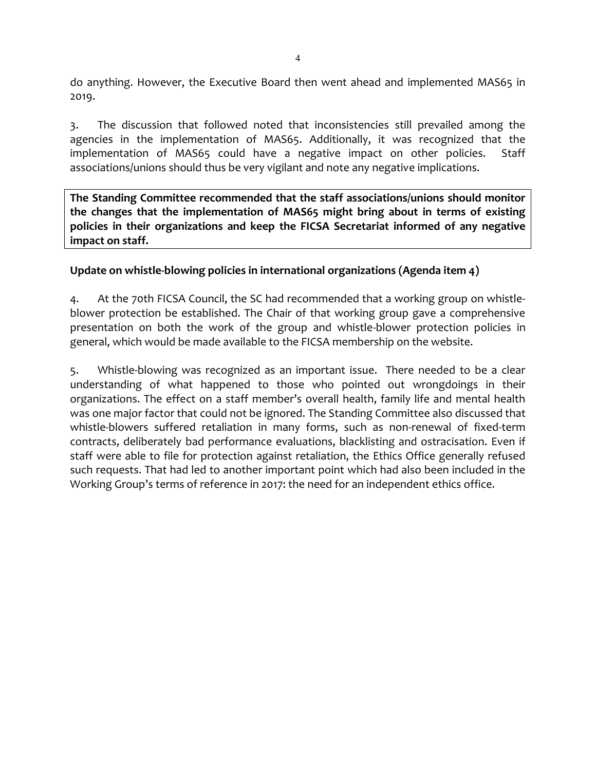do anything. However, the Executive Board then went ahead and implemented MAS65 in 2019.

3. The discussion that followed noted that inconsistencies still prevailed among the agencies in the implementation of MAS65. Additionally, it was recognized that the implementation of MAS65 could have a negative impact on other policies. Staff associations/unions should thus be very vigilant and note any negative implications.

**The Standing Committee recommended that the staff associations/unions should monitor the changes that the implementation of MAS65 might bring about in terms of existing policies in their organizations and keep the FICSA Secretariat informed of any negative impact on staff.**

#### **Update on whistle-blowing policies in international organizations (Agenda item 4)**

4. At the 70th FICSA Council, the SC had recommended that a working group on whistleblower protection be established. The Chair of that working group gave a comprehensive presentation on both the work of the group and whistle-blower protection policies in general, which would be made available to the FICSA membership on the website.

5. Whistle-blowing was recognized as an important issue. There needed to be a clear understanding of what happened to those who pointed out wrongdoings in their organizations. The effect on a staff member's overall health, family life and mental health was one major factor that could not be ignored. The Standing Committee also discussed that whistle-blowers suffered retaliation in many forms, such as non-renewal of fixed-term contracts, deliberately bad performance evaluations, blacklisting and ostracisation. Even if staff were able to file for protection against retaliation, the Ethics Office generally refused such requests. That had led to another important point which had also been included in the Working Group's terms of reference in 2017: the need for an independent ethics office.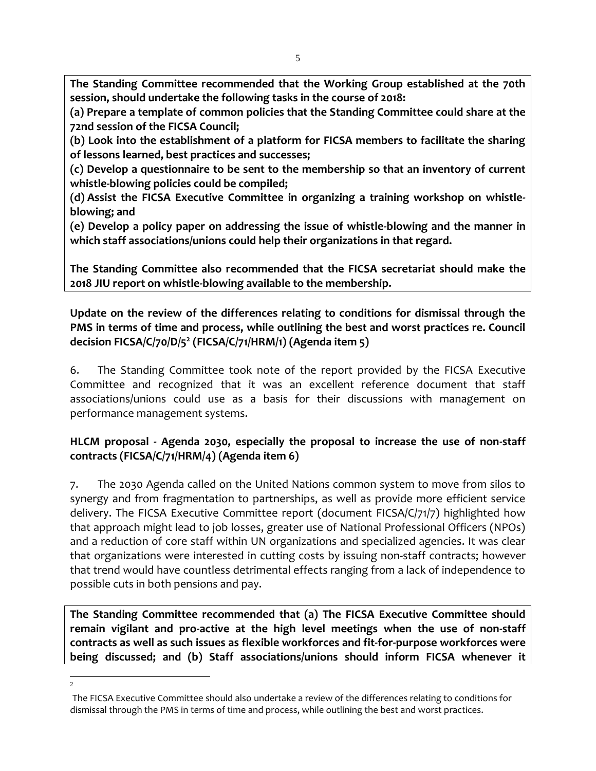**The Standing Committee recommended that the Working Group established at the 70th session, should undertake the following tasks in the course of 2018:** 

**(a) Prepare a template of common policies that the Standing Committee could share at the 72nd session of the FICSA Council;** 

**(b) Look into the establishment of a platform for FICSA members to facilitate the sharing of lessons learned, best practices and successes;** 

**(c) Develop a questionnaire to be sent to the membership so that an inventory of current whistle-blowing policies could be compiled;** 

**(d) Assist the FICSA Executive Committee in organizing a training workshop on whistleblowing; and** 

**(e) Develop a policy paper on addressing the issue of whistle-blowing and the manner in which staff associations/unions could help their organizations in that regard.**

**The Standing Committee also recommended that the FICSA secretariat should make the 2018 JIU report on whistle-blowing available to the membership.**

# **Update on the review of the differences relating to conditions for dismissal through the PMS in terms of time and process, while outlining the best and worst practices re. Council decision FICSA/C/70/D/5<sup>2</sup> (FICSA/C/71/HRM/1) (Agenda item 5)**

6. The Standing Committee took note of the report provided by the FICSA Executive Committee and recognized that it was an excellent reference document that staff associations/unions could use as a basis for their discussions with management on performance management systems.

# **HLCM proposal - Agenda 2030, especially the proposal to increase the use of non-staff contracts (FICSA/C/71/HRM/4) (Agenda item 6)**

7. The 2030 Agenda called on the United Nations common system to move from silos to synergy and from fragmentation to partnerships, as well as provide more efficient service delivery. The FICSA Executive Committee report (document FICSA/C/71/7) highlighted how that approach might lead to job losses, greater use of National Professional Officers (NPOs) and a reduction of core staff within UN organizations and specialized agencies. It was clear that organizations were interested in cutting costs by issuing non-staff contracts; however that trend would have countless detrimental effects ranging from a lack of independence to possible cuts in both pensions and pay.

**The Standing Committee recommended that (a) The FICSA Executive Committee should remain vigilant and pro-active at the high level meetings when the use of non-staff contracts as well as such issues as flexible workforces and fit-for-purpose workforces were being discussed; and (b) Staff associations/unions should inform FICSA whenever it** 

2

The FICSA Executive Committee should also undertake a review of the differences relating to conditions for dismissal through the PMS in terms of time and process, while outlining the best and worst practices.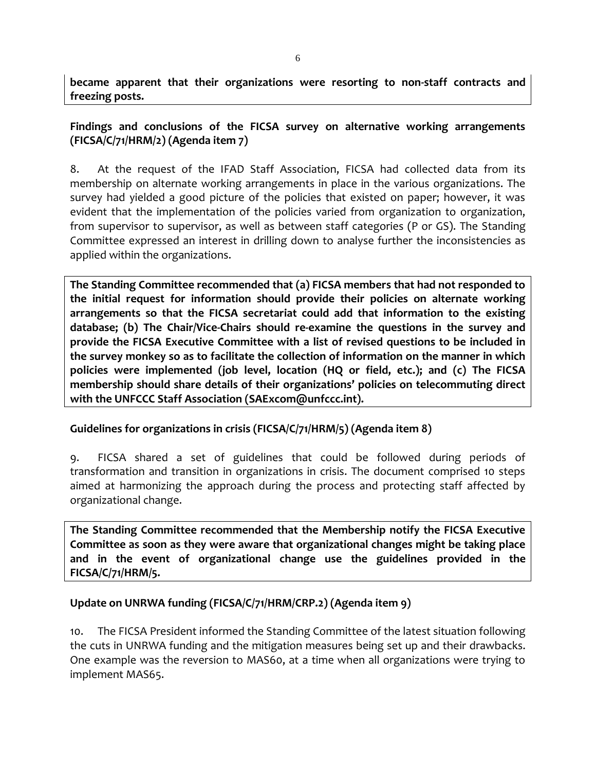**became apparent that their organizations were resorting to non-staff contracts and freezing posts.**

### **Findings and conclusions of the FICSA survey on alternative working arrangements (FICSA/C/71/HRM/2) (Agenda item 7)**

8. At the request of the IFAD Staff Association, FICSA had collected data from its membership on alternate working arrangements in place in the various organizations. The survey had yielded a good picture of the policies that existed on paper; however, it was evident that the implementation of the policies varied from organization to organization, from supervisor to supervisor, as well as between staff categories (P or GS). The Standing Committee expressed an interest in drilling down to analyse further the inconsistencies as applied within the organizations.

**The Standing Committee recommended that (a) FICSA members that had not responded to the initial request for information should provide their policies on alternate working arrangements so that the FICSA secretariat could add that information to the existing database; (b) The Chair/Vice-Chairs should re-examine the questions in the survey and provide the FICSA Executive Committee with a list of revised questions to be included in the survey monkey so as to facilitate the collection of information on the manner in which policies were implemented (job level, location (HQ or field, etc.); and (c) The FICSA membership should share details of their organizations' policies on telecommuting direct with the UNFCCC Staff Association (SAExcom@unfccc.int).**

#### **Guidelines for organizations in crisis (FICSA/C/71/HRM/5) (Agenda item 8)**

9. FICSA shared a set of guidelines that could be followed during periods of transformation and transition in organizations in crisis. The document comprised 10 steps aimed at harmonizing the approach during the process and protecting staff affected by organizational change.

**The Standing Committee recommended that the Membership notify the FICSA Executive Committee as soon as they were aware that organizational changes might be taking place and in the event of organizational change use the guidelines provided in the FICSA/C/71/HRM/5.**

#### **Update on UNRWA funding (FICSA/C/71/HRM/CRP.2) (Agenda item 9)**

10. The FICSA President informed the Standing Committee of the latest situation following the cuts in UNRWA funding and the mitigation measures being set up and their drawbacks. One example was the reversion to MAS60, at a time when all organizations were trying to implement MAS65.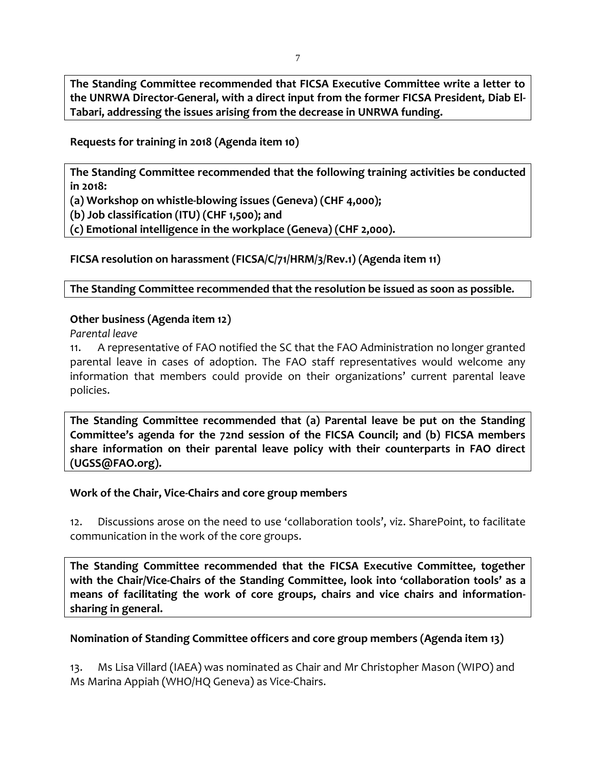**The Standing Committee recommended that FICSA Executive Committee write a letter to the UNRWA Director-General, with a direct input from the former FICSA President, Diab El-Tabari, addressing the issues arising from the decrease in UNRWA funding.**

**Requests for training in 2018 (Agenda item 10)**

**The Standing Committee recommended that the following training activities be conducted in 2018:** 

**(a) Workshop on whistle-blowing issues (Geneva) (CHF 4,000);** 

**(b) Job classification (ITU) (CHF 1,500); and**

**(c) Emotional intelligence in the workplace (Geneva) (CHF 2,000).**

**FICSA resolution on harassment (FICSA/C/71/HRM/3/Rev.1) (Agenda item 11)**

**The Standing Committee recommended that the resolution be issued as soon as possible.**

#### **Other business (Agenda item 12)**

*Parental leave*

11. A representative of FAO notified the SC that the FAO Administration no longer granted parental leave in cases of adoption. The FAO staff representatives would welcome any information that members could provide on their organizations' current parental leave policies.

**The Standing Committee recommended that (a) Parental leave be put on the Standing Committee's agenda for the 72nd session of the FICSA Council; and (b) FICSA members share information on their parental leave policy with their counterparts in FAO direct (UGSS@FAO.org).**

#### **Work of the Chair, Vice-Chairs and core group members**

12. Discussions arose on the need to use 'collaboration tools', viz. SharePoint, to facilitate communication in the work of the core groups.

**The Standing Committee recommended that the FICSA Executive Committee, together with the Chair/Vice-Chairs of the Standing Committee, look into 'collaboration tools' as a means of facilitating the work of core groups, chairs and vice chairs and informationsharing in general.**

# **Nomination of Standing Committee officers and core group members (Agenda item 13)**

13. Ms Lisa Villard (IAEA) was nominated as Chair and Mr Christopher Mason (WIPO) and Ms Marina Appiah (WHO/HQ Geneva) as Vice-Chairs.